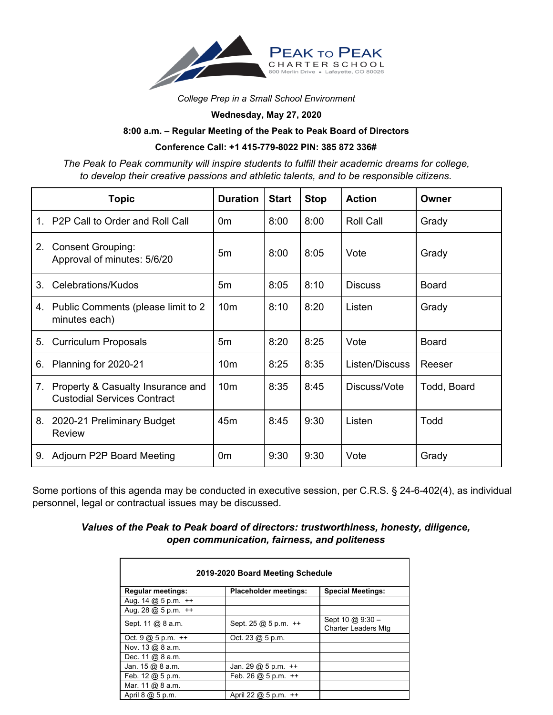

*College Prep in a Small School Environment*

**Wednesday, May 27, 2020**

## **8:00 a.m. – Regular Meeting of the Peak to Peak Board of Directors**

## **Conference Call: +1 415-779-8022 PIN: 385 872 336#**

*The Peak to Peak community will inspire students to fulfill their academic dreams for college, to develop their creative passions and athletic talents, and to be responsible citizens.*

|    | <b>Topic</b>                                                            | <b>Duration</b> | <b>Start</b> | <b>Stop</b> | <b>Action</b>    | Owner        |
|----|-------------------------------------------------------------------------|-----------------|--------------|-------------|------------------|--------------|
| 1. | P2P Call to Order and Roll Call                                         | 0 <sub>m</sub>  | 8:00         | 8:00        | <b>Roll Call</b> | Grady        |
| 2. | <b>Consent Grouping:</b><br>Approval of minutes: 5/6/20                 | 5m              | 8:00         | 8:05        | Vote             | Grady        |
| 3. | Celebrations/Kudos                                                      | 5m              | 8:05         | 8:10        | <b>Discuss</b>   | <b>Board</b> |
|    | 4. Public Comments (please limit to 2<br>minutes each)                  | 10 <sub>m</sub> | 8:10         | 8:20        | Listen           | Grady        |
| 5. | <b>Curriculum Proposals</b>                                             | 5m              | 8:20         | 8:25        | Vote             | <b>Board</b> |
| 6. | Planning for 2020-21                                                    | 10 <sub>m</sub> | 8:25         | 8:35        | Listen/Discuss   | Reeser       |
| 7. | Property & Casualty Insurance and<br><b>Custodial Services Contract</b> | 10 <sub>m</sub> | 8:35         | 8:45        | Discuss/Vote     | Todd, Board  |
| 8. | 2020-21 Preliminary Budget<br>Review                                    | 45 <sub>m</sub> | 8:45         | 9:30        | Listen           | Todd         |
| 9. | Adjourn P2P Board Meeting                                               | 0 <sub>m</sub>  | 9:30         | 9:30        | Vote             | Grady        |

Some portions of this agenda may be conducted in executive session, per C.R.S. § 24-6-402(4), as individual personnel, legal or contractual issues may be discussed.

## *Values of the Peak to Peak board of directors: trustworthiness, honesty, diligence, open communication, fairness, and politeness*

| 2019-2020 Board Meeting Schedule       |                                     |                                                |  |  |  |  |  |
|----------------------------------------|-------------------------------------|------------------------------------------------|--|--|--|--|--|
| <b>Regular meetings:</b>               | <b>Placeholder meetings:</b>        | <b>Special Meetings:</b>                       |  |  |  |  |  |
| Aug. 14 @ 5 p.m. ++                    |                                     |                                                |  |  |  |  |  |
| Aug. 28 $@$ 5 p.m. $++$                |                                     |                                                |  |  |  |  |  |
| Sept. 11 @ 8 a.m.                      | Sept. 25 @ 5 p.m. ++                | Sept 10 $@9:30-$<br><b>Charter Leaders Mtg</b> |  |  |  |  |  |
| Oct. $9 \text{ @ } 5 \text{ p.m. } ++$ | Oct. $23 \text{ @ } 5 \text{ p.m.}$ |                                                |  |  |  |  |  |
| Nov. 13 @ 8 a.m.                       |                                     |                                                |  |  |  |  |  |
| Dec. 11 @ 8 a.m.                       |                                     |                                                |  |  |  |  |  |
| Jan. $15 \text{ @ } 8 \text{ a.m.}$    | Jan. 29 $@$ 5 p.m. $++$             |                                                |  |  |  |  |  |
| Feb. 12 @ 5 p.m.                       | Feb. 26 $@$ 5 p.m. $++$             |                                                |  |  |  |  |  |
| Mar. 11 @ 8 a.m.                       |                                     |                                                |  |  |  |  |  |
| April 8 @ 5 p.m.                       | April 22 @ 5 p.m. ++                |                                                |  |  |  |  |  |